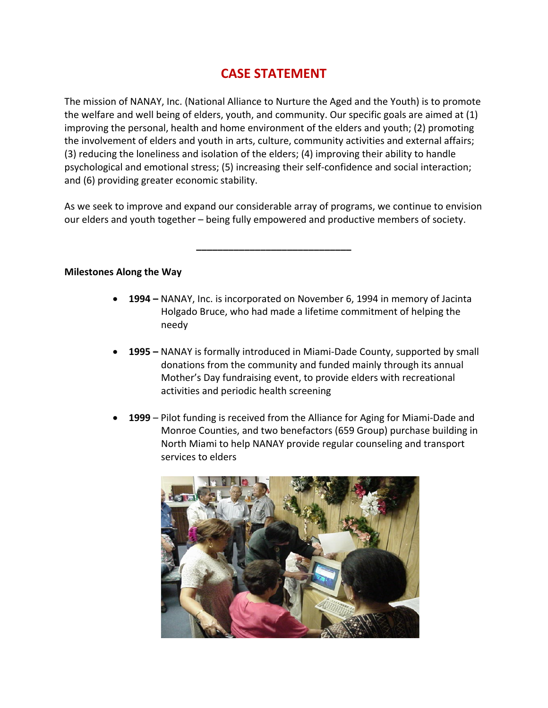## **CASE STATEMENT**

The mission of NANAY, Inc. (National Alliance to Nurture the Aged and the Youth) is to promote the welfare and well being of elders, youth, and community. Our specific goals are aimed at (1) improving the personal, health and home environment of the elders and youth; (2) promoting the involvement of elders and youth in arts, culture, community activities and external affairs; (3) reducing the loneliness and isolation of the elders; (4) improving their ability to handle psychological and emotional stress; (5) increasing their self-confidence and social interaction; and (6) providing greater economic stability.

As we seek to improve and expand our considerable array of programs, we continue to envision our elders and youth together – being fully empowered and productive members of society.

**\_\_\_\_\_\_\_\_\_\_\_\_\_\_\_\_\_\_\_\_\_\_\_\_\_\_\_\_\_** 

**Milestones Along the Way**

- **1994 –** NANAY, Inc. is incorporated on November 6, 1994 in memory of Jacinta Holgado Bruce, who had made a lifetime commitment of helping the needy
- **1995 –** NANAY is formally introduced in Miami-Dade County, supported by small donations from the community and funded mainly through its annual Mother's Day fundraising event, to provide elders with recreational activities and periodic health screening
- **1999** Pilot funding is received from the Alliance for Aging for Miami-Dade and Monroe Counties, and two benefactors (659 Group) purchase building in North Miami to help NANAY provide regular counseling and transport services to elders

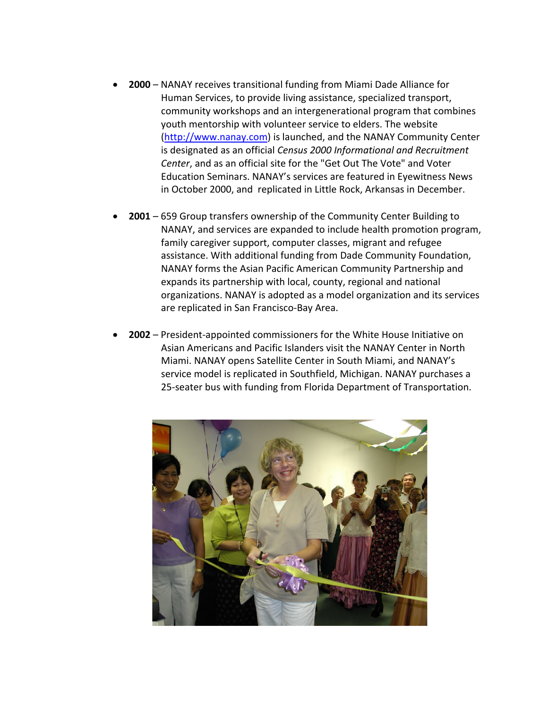- **2000** NANAY receives transitional funding from Miami Dade Alliance for Human Services, to provide living assistance, specialized transport, community workshops and an intergenerational program that combines youth mentorship with volunteer service to elders. The website [\(http://www.nanay.com\)](http://www.nanay.com/) is launched, and the NANAY Community Center is designated as an official *Census 2000 Informational and Recruitment Center*, and as an official site for the "Get Out The Vote" and Voter Education Seminars. NANAY's services are featured in Eyewitness News in October 2000, and replicated in Little Rock, Arkansas in December.
- **2001** 659 Group transfers ownership of the Community Center Building to NANAY, and services are expanded to include health promotion program, family caregiver support, computer classes, migrant and refugee assistance. With additional funding from Dade Community Foundation, NANAY forms the Asian Pacific American Community Partnership and expands its partnership with local, county, regional and national organizations. NANAY is adopted as a model organization and its services are replicated in San Francisco-Bay Area.
- **2002** President-appointed commissioners for the White House Initiative on Asian Americans and Pacific Islanders visit the NANAY Center in North Miami. NANAY opens Satellite Center in South Miami, and NANAY's service model is replicated in Southfield, Michigan. NANAY purchases a 25-seater bus with funding from Florida Department of Transportation.